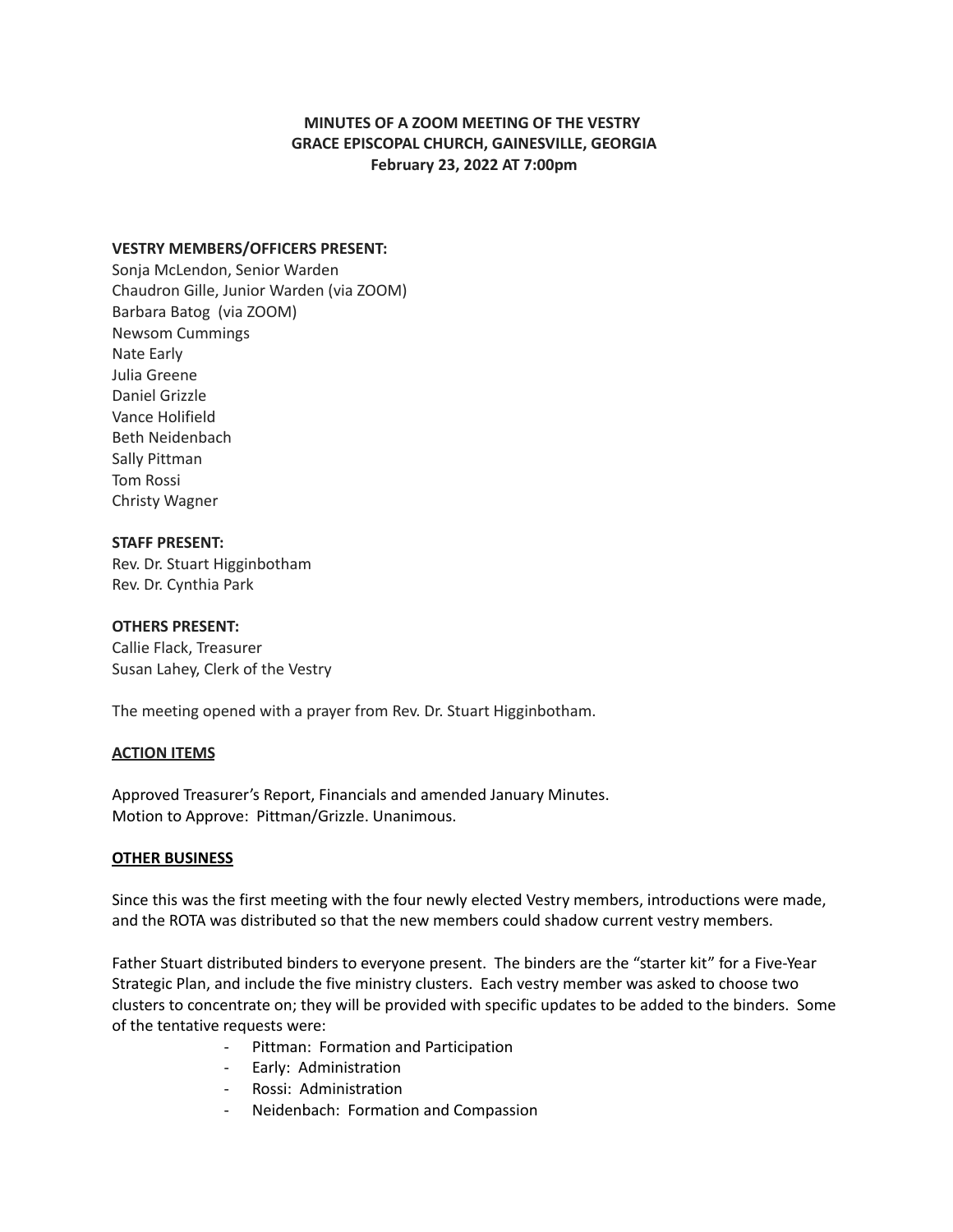# **MINUTES OF A ZOOM MEETING OF THE VESTRY GRACE EPISCOPAL CHURCH, GAINESVILLE, GEORGIA February 23, 2022 AT 7:00pm**

## **VESTRY MEMBERS/OFFICERS PRESENT:**

Sonja McLendon, Senior Warden Chaudron Gille, Junior Warden (via ZOOM) Barbara Batog (via ZOOM) Newsom Cummings Nate Early Julia Greene Daniel Grizzle Vance Holifield Beth Neidenbach Sally Pittman Tom Rossi Christy Wagner

## **STAFF PRESENT:**

Rev. Dr. Stuart Higginbotham Rev. Dr. Cynthia Park

#### **OTHERS PRESENT:**

Callie Flack, Treasurer Susan Lahey, Clerk of the Vestry

The meeting opened with a prayer from Rev. Dr. Stuart Higginbotham.

#### **ACTION ITEMS**

Approved Treasurer's Report, Financials and amended January Minutes. Motion to Approve: Pittman/Grizzle. Unanimous.

#### **OTHER BUSINESS**

Since this was the first meeting with the four newly elected Vestry members, introductions were made, and the ROTA was distributed so that the new members could shadow current vestry members.

Father Stuart distributed binders to everyone present. The binders are the "starter kit" for a Five-Year Strategic Plan, and include the five ministry clusters. Each vestry member was asked to choose two clusters to concentrate on; they will be provided with specific updates to be added to the binders. Some of the tentative requests were:

- Pittman: Formation and Participation
- Early: Administration
- Rossi: Administration
- Neidenbach: Formation and Compassion